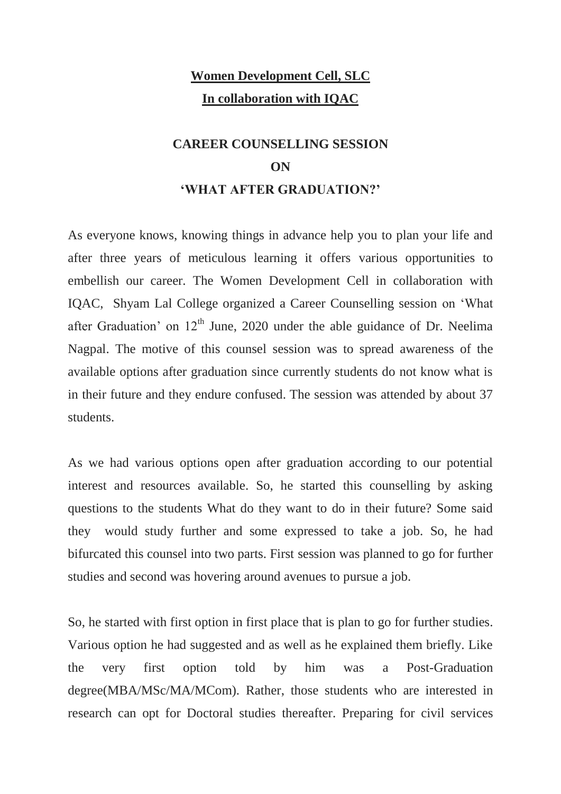#### **Women Development Cell, SLC In collaboration with IQAC**

#### **CAREER COUNSELLING SESSION ON 'WHAT AFTER GRADUATION?'**

As everyone knows, knowing things in advance help you to plan your life and after three years of meticulous learning it offers various opportunities to embellish our career. The Women Development Cell in collaboration with IQAC, Shyam Lal College organized a Career Counselling session on 'What after Graduation' on  $12<sup>th</sup>$  June, 2020 under the able guidance of Dr. Neelima Nagpal. The motive of this counsel session was to spread awareness of the available options after graduation since currently students do not know what is in their future and they endure confused. The session was attended by about 37 students.

As we had various options open after graduation according to our potential interest and resources available. So, he started this counselling by asking questions to the students What do they want to do in their future? Some said they would study further and some expressed to take a job. So, he had bifurcated this counsel into two parts. First session was planned to go for further studies and second was hovering around avenues to pursue a job.

So, he started with first option in first place that is plan to go for further studies. Various option he had suggested and as well as he explained them briefly. Like the very first option told by him was a Post-Graduation degree(MBA/MSc/MA/MCom). Rather, those students who are interested in research can opt for Doctoral studies thereafter. Preparing for civil services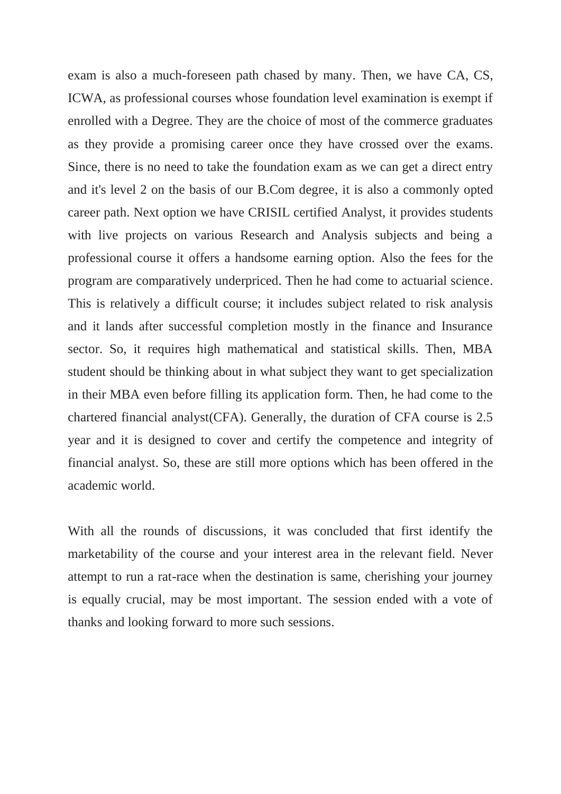exam is also a much-foreseen path chased by many. Then, we have CA, CS, ICWA, as professional courses whose foundation level examination is exempt if enrolled with a Degree. They are the choice of most of the commerce graduates as they provide a promising career once they have crossed over the exams. Since, there is no need to take the foundation exam as we can get a direct entry and it's level 2 on the basis of our B.Com degree, it is also a commonly opted career path. Next option we have CRISIL certified Analyst, it provides students with live projects on various Research and Analysis subjects and being a professional course it offers a handsome earning option. Also the fees for the program are comparatively underpriced. Then he had come to actuarial science. This is relatively a difficult course; it includes subject related to risk analysis and it lands after successful completion mostly in the finance and Insurance sector. So, it requires high mathematical and statistical skills. Then, MBA student should be thinking about in what subject they want to get specialization in their MBA even before filling its application form. Then, he had come to the chartered financial analyst(CFA). Generally, the duration of CFA course is 2.5 year and it is designed to cover and certify the competence and integrity of financial analyst. So, these are still more options which has been offered in the academic world.

With all the rounds of discussions, it was concluded that first identify the marketability of the course and your interest area in the relevant field. Never attempt to run a rat-race when the destination is same, cherishing your journey is equally crucial, may be most important. The session ended with a vote of thanks and looking forward to more such sessions.